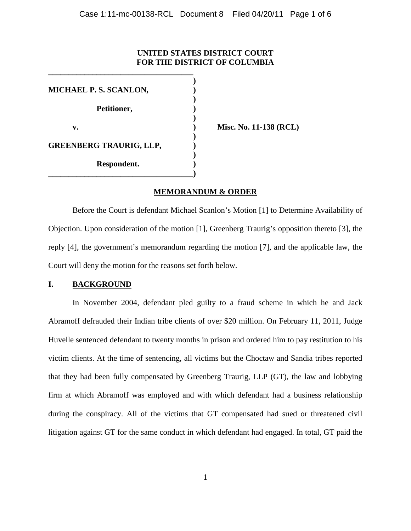# **UNITED STATES DISTRICT COURT FOR THE DISTRICT OF COLUMBIA**

**)**

**)**

**)**

**)** 

**)**

**MICHAEL P. S. SCANLON, ) Petitioner, ) v. ) Misc. No. 11-138 (RCL) GREENBERG TRAURIG, LLP, ) Respondent. )**

**\_\_\_\_\_\_\_\_\_\_\_\_\_\_\_\_\_\_\_\_\_\_\_\_\_\_\_\_\_\_\_\_\_\_\_\_)**

**\_\_\_\_\_\_\_\_\_\_\_\_\_\_\_\_\_\_\_\_\_\_\_\_\_\_\_\_\_\_\_\_\_\_\_\_**

# **MEMORANDUM & ORDER**

Before the Court is defendant Michael Scanlon's Motion [1] to Determine Availability of Objection. Upon consideration of the motion [1], Greenberg Traurig's opposition thereto [3], the reply [4], the government's memorandum regarding the motion [7], and the applicable law, the Court will deny the motion for the reasons set forth below.

## **I. BACKGROUND**

In November 2004, defendant pled guilty to a fraud scheme in which he and Jack Abramoff defrauded their Indian tribe clients of over \$20 million. On February 11, 2011, Judge Huvelle sentenced defendant to twenty months in prison and ordered him to pay restitution to his victim clients. At the time of sentencing, all victims but the Choctaw and Sandia tribes reported that they had been fully compensated by Greenberg Traurig, LLP (GT), the law and lobbying firm at which Abramoff was employed and with which defendant had a business relationship during the conspiracy. All of the victims that GT compensated had sued or threatened civil litigation against GT for the same conduct in which defendant had engaged. In total, GT paid the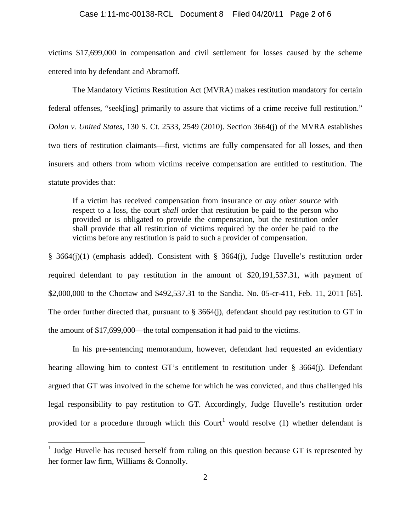#### Case 1:11-mc-00138-RCL Document 8 Filed 04/20/11 Page 2 of 6

victims \$17,699,000 in compensation and civil settlement for losses caused by the scheme entered into by defendant and Abramoff.

The Mandatory Victims Restitution Act (MVRA) makes restitution mandatory for certain federal offenses, "seek[ing] primarily to assure that victims of a crime receive full restitution." *Dolan v. United States*, 130 S. Ct. 2533, 2549 (2010). Section 3664(j) of the MVRA establishes two tiers of restitution claimants—first, victims are fully compensated for all losses, and then insurers and others from whom victims receive compensation are entitled to restitution. The statute provides that:

If a victim has received compensation from insurance or *any other source* with respect to a loss, the court *shall* order that restitution be paid to the person who provided or is obligated to provide the compensation, but the restitution order shall provide that all restitution of victims required by the order be paid to the victims before any restitution is paid to such a provider of compensation.

§ 3664(j)(1) (emphasis added). Consistent with § 3664(j), Judge Huvelle's restitution order required defendant to pay restitution in the amount of \$20,191,537.31, with payment of \$2,000,000 to the Choctaw and \$492,537.31 to the Sandia. No. 05-cr-411, Feb. 11, 2011 [65]. The order further directed that, pursuant to § 3664(j), defendant should pay restitution to GT in the amount of \$17,699,000—the total compensation it had paid to the victims.

In his pre-sentencing memorandum, however, defendant had requested an evidentiary hearing allowing him to contest GT's entitlement to restitution under § 3664(j). Defendant argued that GT was involved in the scheme for which he was convicted, and thus challenged his legal responsibility to pay restitution to GT. Accordingly, Judge Huvelle's restitution order provided for a procedure through which this Court<sup>[1](#page-3-0)</sup> would resolve (1) whether defendant is

<sup>&</sup>lt;sup>1</sup> Judge Huvelle has recused herself from ruling on this question because GT is represented by her former law firm, Williams & Connolly.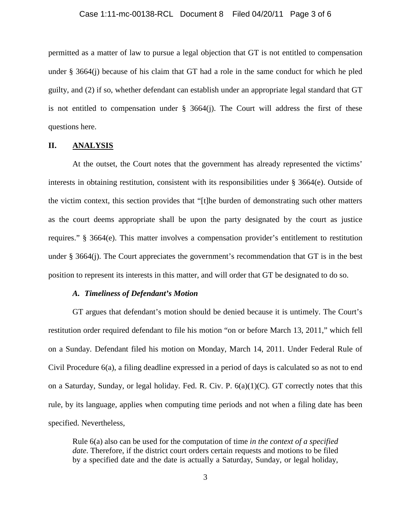#### Case 1:11-mc-00138-RCL Document 8 Filed 04/20/11 Page 3 of 6

permitted as a matter of law to pursue a legal objection that GT is not entitled to compensation under § 3664(j) because of his claim that GT had a role in the same conduct for which he pled guilty, and (2) if so, whether defendant can establish under an appropriate legal standard that GT is not entitled to compensation under  $\S$  3664(j). The Court will address the first of these questions here.

## **II. ANALYSIS**

At the outset, the Court notes that the government has already represented the victims' interests in obtaining restitution, consistent with its responsibilities under § 3664(e). Outside of the victim context, this section provides that "[t]he burden of demonstrating such other matters as the court deems appropriate shall be upon the party designated by the court as justice requires." § 3664(e). This matter involves a compensation provider's entitlement to restitution under  $\S 3664(i)$ . The Court appreciates the government's recommendation that GT is in the best position to represent its interests in this matter, and will order that GT be designated to do so.

## *A. Timeliness of Defendant's Motion*

GT argues that defendant's motion should be denied because it is untimely. The Court's restitution order required defendant to file his motion "on or before March 13, 2011," which fell on a Sunday. Defendant filed his motion on Monday, March 14, 2011. Under Federal Rule of Civil Procedure 6(a), a filing deadline expressed in a period of days is calculated so as not to end on a Saturday, Sunday, or legal holiday. Fed. R. Civ. P. 6(a)(1)(C). GT correctly notes that this rule, by its language, applies when computing time periods and not when a filing date has been specified. Nevertheless,

Rule 6(a) also can be used for the computation of time *in the context of a specified date*. Therefore, if the district court orders certain requests and motions to be filed by a specified date and the date is actually a Saturday, Sunday, or legal holiday,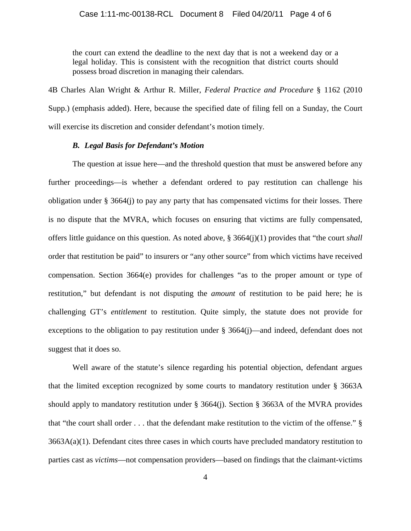the court can extend the deadline to the next day that is not a weekend day or a legal holiday. This is consistent with the recognition that district courts should possess broad discretion in managing their calendars.

4B Charles Alan Wright & Arthur R. Miller, *Federal Practice and Procedure* § 1162 (2010 Supp.) (emphasis added). Here, because the specified date of filing fell on a Sunday, the Court will exercise its discretion and consider defendant's motion timely.

#### *B. Legal Basis for Defendant's Motion*

The question at issue here—and the threshold question that must be answered before any further proceedings—is whether a defendant ordered to pay restitution can challenge his obligation under  $\S 3664(i)$  to pay any party that has compensated victims for their losses. There is no dispute that the MVRA, which focuses on ensuring that victims are fully compensated, offers little guidance on this question. As noted above, § 3664(j)(1) provides that "the court *shall* order that restitution be paid" to insurers or "any other source" from which victims have received compensation. Section 3664(e) provides for challenges "as to the proper amount or type of restitution," but defendant is not disputing the *amount* of restitution to be paid here; he is challenging GT's *entitlement* to restitution. Quite simply, the statute does not provide for exceptions to the obligation to pay restitution under § 3664(j)—and indeed, defendant does not suggest that it does so.

<span id="page-3-0"></span>Well aware of the statute's silence regarding his potential objection, defendant argues that the limited exception recognized by some courts to mandatory restitution under § 3663A should apply to mandatory restitution under  $\S$  3664(j). Section  $\S$  3663A of the MVRA provides that "the court shall order . . . that the defendant make restitution to the victim of the offense." §  $3663A(a)(1)$ . Defendant cites three cases in which courts have precluded mandatory restitution to parties cast as *victims*—not compensation providers—based on findings that the claimant-victims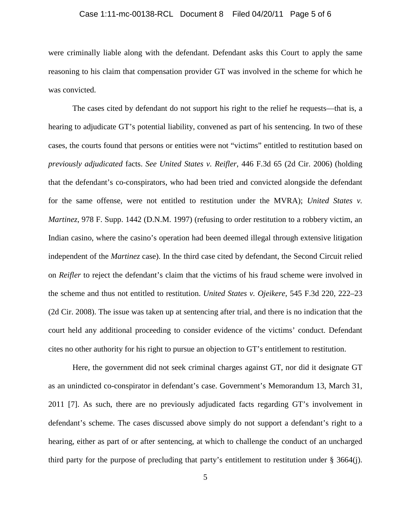#### Case 1:11-mc-00138-RCL Document 8 Filed 04/20/11 Page 5 of 6

were criminally liable along with the defendant. Defendant asks this Court to apply the same reasoning to his claim that compensation provider GT was involved in the scheme for which he was convicted.

The cases cited by defendant do not support his right to the relief he requests—that is, a hearing to adjudicate GT's potential liability, convened as part of his sentencing. In two of these cases, the courts found that persons or entities were not "victims" entitled to restitution based on *previously adjudicated* facts. *See United States v. Reifler*, 446 F.3d 65 (2d Cir. 2006) (holding that the defendant's co-conspirators, who had been tried and convicted alongside the defendant for the same offense, were not entitled to restitution under the MVRA); *United States v. Martinez*, 978 F. Supp. 1442 (D.N.M. 1997) (refusing to order restitution to a robbery victim, an Indian casino, where the casino's operation had been deemed illegal through extensive litigation independent of the *Martinez* case). In the third case cited by defendant, the Second Circuit relied on *Reifler* to reject the defendant's claim that the victims of his fraud scheme were involved in the scheme and thus not entitled to restitution. *United States v. Ojeikere*, 545 F.3d 220, 222–23 (2d Cir. 2008). The issue was taken up at sentencing after trial, and there is no indication that the court held any additional proceeding to consider evidence of the victims' conduct. Defendant cites no other authority for his right to pursue an objection to GT's entitlement to restitution.

Here, the government did not seek criminal charges against GT, nor did it designate GT as an unindicted co-conspirator in defendant's case. Government's Memorandum 13, March 31, 2011 [7]. As such, there are no previously adjudicated facts regarding GT's involvement in defendant's scheme. The cases discussed above simply do not support a defendant's right to a hearing, either as part of or after sentencing, at which to challenge the conduct of an uncharged third party for the purpose of precluding that party's entitlement to restitution under § 3664(j).